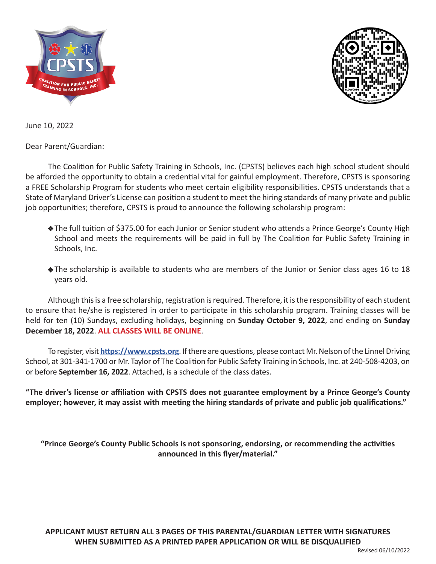



June 10, 2022

Dear Parent/Guardian:

The Coalition for Public Safety Training in Schools, Inc. (CPSTS) believes each high school student should be afforded the opportunity to obtain a credential vital for gainful employment. Therefore, CPSTS is sponsoring a FREE Scholarship Program for students who meet certain eligibility responsibilities. CPSTS understands that a State of Maryland Driver's License can position a student to meet the hiring standards of many private and public job opportunities; therefore, CPSTS is proud to announce the following scholarship program:

- The full tuition of \$375.00 for each Junior or Senior student who attends a Prince George's County High School and meets the requirements will be paid in full by The Coalition for Public Safety Training in Schools, Inc.
- The scholarship is available to students who are members of the Junior or Senior class ages 16 to 18 years old.

Although this is a free scholarship, registration is required. Therefore, it is the responsibility of each student to ensure that he/she is registered in order to participate in this scholarship program. Training classes will be held for ten (10) Sundays, excluding holidays, beginning on **Sunday October 9, 2022**, and ending on **Sunday December 18, 2022**. **ALL CLASSES WILL BE ONLINE**.

To register, visit **https://www.cpsts.org**. If there are questions, please contact Mr. Nelson of the Linnel Driving School, at 301-341-1700 or Mr. Taylor of The Coalition for Public Safety Training in Schools, Inc. at 240-508-4203, on or before **September 16, 2022**. Attached, is a schedule of the class dates.

**"The driver's license or affiliation with CPSTS does not guarantee employment by a Prince George's County employer; however, it may assist with meeting the hiring standards of private and public job qualifications."**

**"Prince George's County Public Schools is not sponsoring, endorsing, or recommending the activities announced in this flyer/material."**

**APPLICANT MUST RETURN ALL 3 PAGES OF THIS PARENTAL/GUARDIAN LETTER WITH SIGNATURES WHEN SUBMITTED AS A PRINTED PAPER APPLICATION OR WILL BE DISQUALIFIED**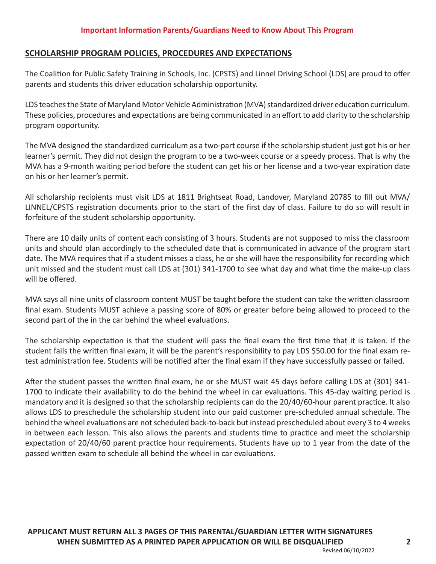## **SCHOLARSHIP PROGRAM POLICIES, PROCEDURES AND EXPECTATIONS**

The Coalition for Public Safety Training in Schools, Inc. (CPSTS) and Linnel Driving School (LDS) are proud to offer parents and students this driver education scholarship opportunity.

LDS teaches the State of Maryland Motor Vehicle Administration (MVA) standardized driver education curriculum. These policies, procedures and expectations are being communicated in an effort to add clarity to the scholarship program opportunity.

The MVA designed the standardized curriculum as a two-part course if the scholarship student just got his or her learner's permit. They did not design the program to be a two-week course or a speedy process. That is why the MVA has a 9-month waiting period before the student can get his or her license and a two-year expiration date on his or her learner's permit.

All scholarship recipients must visit LDS at 1811 Brightseat Road, Landover, Maryland 20785 to fill out MVA/ LINNEL/CPSTS registration documents prior to the start of the first day of class. Failure to do so will result in forfeiture of the student scholarship opportunity.

There are 10 daily units of content each consisting of 3 hours. Students are not supposed to miss the classroom units and should plan accordingly to the scheduled date that is communicated in advance of the program start date. The MVA requires that if a student misses a class, he or she will have the responsibility for recording which unit missed and the student must call LDS at (301) 341-1700 to see what day and what time the make-up class will be offered.

MVA says all nine units of classroom content MUST be taught before the student can take the written classroom final exam. Students MUST achieve a passing score of 80% or greater before being allowed to proceed to the second part of the in the car behind the wheel evaluations.

The scholarship expectation is that the student will pass the final exam the first time that it is taken. If the student fails the written final exam, it will be the parent's responsibility to pay LDS \$50.00 for the final exam retest administration fee. Students will be notified after the final exam if they have successfully passed or failed.

After the student passes the written final exam, he or she MUST wait 45 days before calling LDS at (301) 341- 1700 to indicate their availability to do the behind the wheel in car evaluations. This 45-day waiting period is mandatory and it is designed so that the scholarship recipients can do the 20/40/60-hour parent practice. It also allows LDS to preschedule the scholarship student into our paid customer pre-scheduled annual schedule. The behind the wheel evaluations are not scheduled back-to-back but instead prescheduled about every 3 to 4 weeks in between each lesson. This also allows the parents and students time to practice and meet the scholarship expectation of 20/40/60 parent practice hour requirements. Students have up to 1 year from the date of the passed written exam to schedule all behind the wheel in car evaluations.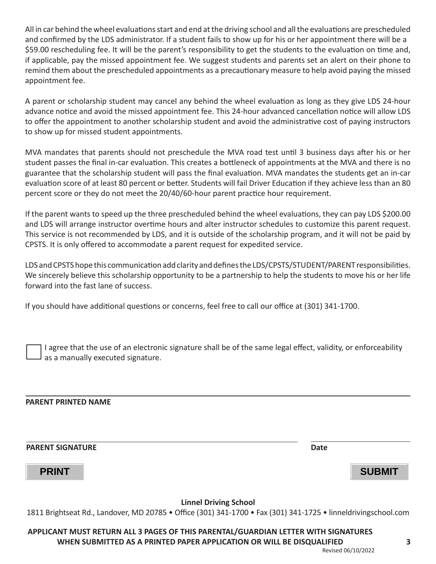All in car behind the wheel evaluations start and end at the driving school and all the evaluations are prescheduled and confirmed by the LDS administrator. If a student fails to show up for his or her appointment there will be a \$59.00 rescheduling fee. It will be the parent's responsibility to get the students to the evaluation on time and, if applicable, pay the missed appointment fee. We suggest students and parents set an alert on their phone to remind them about the prescheduled appointments as a precautionary measure to help avoid paying the missed appointment fee.

A parent or scholarship student may cancel any behind the wheel evaluation as long as they give LDS 24-hour advance notice and avoid the missed appointment fee. This 24-hour advanced cancellation notice will allow LDS to offer the appointment to another scholarship student and avoid the administrative cost of paying instructors to show up for missed student appointments.

MVA mandates that parents should not preschedule the MVA road test until 3 business days after his or her student passes the final in-car evaluation. This creates a bottleneck of appointments at the MVA and there is no guarantee that the scholarship student will pass the final evaluation. MVA mandates the students get an in-car evaluation score of at least 80 percent or better. Students will fail Driver Education if they achieve less than an 80 percent score or they do not meet the 20/40/60-hour parent practice hour requirement.

If the parent wants to speed up the three prescheduled behind the wheel evaluations, they can pay LDS \$200.00 and LDS will arrange instructor overtime hours and alter instructor schedules to customize this parent request. This service is not recommended by LDS, and it is outside of the scholarship program, and it will not be paid by CPSTS. It is only offered to accommodate a parent request for expedited service.

LDS and CPSTS hope this communication add clarity and defines the LDS/CPSTS/STUDENT/PARENT responsibilities. We sincerely believe this scholarship opportunity to be a partnership to help the students to move his or her life forward into the fast lane of success.

If you should have additional questions or concerns, feel free to call our office at (301) 341-1700.

I agree that the use of an electronic signature shall be of the same legal effect, validity, or enforceability as a manually executed signature.

## **PARENT PRINTED NAME**

**PARENT SIGNATURE Date**

**PRINT SUBMIT**

**Linnel Driving School**

1811 Brightseat Rd., Landover, MD 20785 • Office (301) 341-1700 • Fax (301) 341-1725 • linneldrivingschool.com

**APPLICANT MUST RETURN ALL 3 PAGES OF THIS PARENTAL/GUARDIAN LETTER WITH SIGNATURES WHEN SUBMITTED AS A PRINTED PAPER APPLICATION OR WILL BE DISQUALIFIED**

Revised 06/10/2022